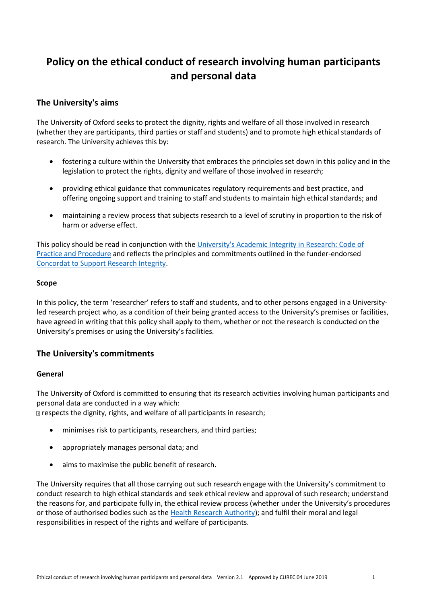# **Policy on the ethical conduct of research involving human participants and personal data**

# **The University's aims**

The University of Oxford seeks to protect the dignity, rights and welfare of all those involved in research (whether they are participants, third parties or staff and students) and to promote high ethical standards of research. The University achieves this by:

- fostering a culture within the University that embraces the principles set down in this policy and in the legislation to protect the rights, dignity and welfare of those involved in research;
- providing ethical guidance that communicates regulatory requirements and best practice, and offering ongoing support and training to staff and students to maintain high ethical standards; and
- maintaining a review process that subjects research to a level of scrutiny in proportion to the risk of harm or adverse effect.

This policy should be read in conjunction with the [University's Academic Integrity in Research: Code of](http://www.admin.ox.ac.uk/personnel/cops/researchintegrity/)  [Practice and Procedure](http://www.admin.ox.ac.uk/personnel/cops/researchintegrity/) and reflects the principles and commitments outlined in the funder-endorsed [Concordat to Support Research Integrity.](https://www.universitiesuk.ac.uk/policy-and-analysis/reports/Documents/2019/the-concordat-to-support-research-integrity.pdf)

## **Scope**

In this policy, the term 'researcher' refers to staff and students, and to other persons engaged in a Universityled research project who, as a condition of their being granted access to the University's premises or facilities, have agreed in writing that this policy shall apply to them, whether or not the research is conducted on the University's premises or using the University's facilities.

## **The University's commitments**

## **General**

The University of Oxford is committed to ensuring that its research activities involving human participants and personal data are conducted in a way which:

respects the dignity, rights, and welfare of all participants in research;

- minimises risk to participants, researchers, and third parties;
- appropriately manages personal data; and
- aims to maximise the public benefit of research.

The University requires that all those carrying out such research engage with the University's commitment to conduct research to high ethical standards and seek ethical review and approval of such research; understand the reasons for, and participate fully in, the ethical review process (whether under the University's procedures or those of authorised bodies such as th[e Health Research Authority\)](https://www.hra.nhs.uk/planning-and-improving-research/); and fulfil their moral and legal responsibilities in respect of the rights and welfare of participants.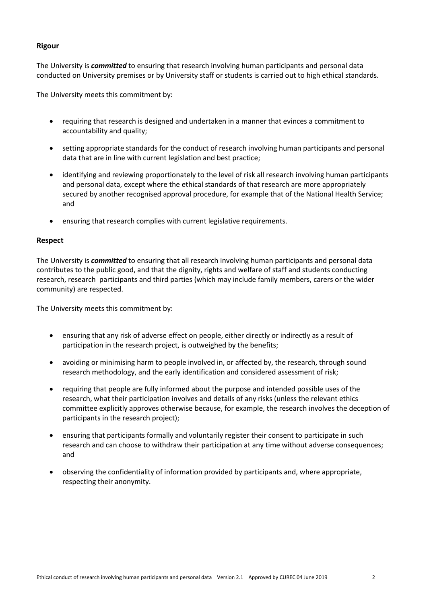## **Rigour**

The University is *committed* to ensuring that research involving human participants and personal data conducted on University premises or by University staff or students is carried out to high ethical standards.

The University meets this commitment by:

- requiring that research is designed and undertaken in a manner that evinces a commitment to accountability and quality;
- setting appropriate standards for the conduct of research involving human participants and personal data that are in line with current legislation and best practice;
- identifying and reviewing proportionately to the level of risk all research involving human participants and personal data, except where the ethical standards of that research are more appropriately secured by another recognised approval procedure, for example that of the National Health Service; and
- ensuring that research complies with current legislative requirements.

#### **Respect**

The University is *committed* to ensuring that all research involving human participants and personal data contributes to the public good, and that the dignity, rights and welfare of staff and students conducting research, research participants and third parties (which may include family members, carers or the wider community) are respected.

The University meets this commitment by:

- ensuring that any risk of adverse effect on people, either directly or indirectly as a result of participation in the research project, is outweighed by the benefits;
- avoiding or minimising harm to people involved in, or affected by, the research, through sound research methodology, and the early identification and considered assessment of risk;
- requiring that people are fully informed about the purpose and intended possible uses of the research, what their participation involves and details of any risks (unless the relevant ethics committee explicitly approves otherwise because, for example, the research involves the deception of participants in the research project);
- ensuring that participants formally and voluntarily register their consent to participate in such research and can choose to withdraw their participation at any time without adverse consequences; and
- observing the confidentiality of information provided by participants and, where appropriate, respecting their anonymity.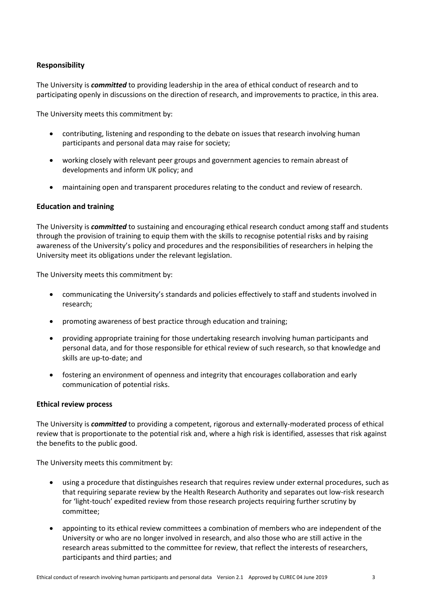## **Responsibility**

The University is *committed* to providing leadership in the area of ethical conduct of research and to participating openly in discussions on the direction of research, and improvements to practice, in this area.

The University meets this commitment by:

- contributing, listening and responding to the debate on issues that research involving human participants and personal data may raise for society;
- working closely with relevant peer groups and government agencies to remain abreast of developments and inform UK policy; and
- maintaining open and transparent procedures relating to the conduct and review of research.

#### **Education and training**

The University is *committed* to sustaining and encouraging ethical research conduct among staff and students through the provision of training to equip them with the skills to recognise potential risks and by raising awareness of the University's policy and procedures and the responsibilities of researchers in helping the University meet its obligations under the relevant legislation.

The University meets this commitment by:

- communicating the University's standards and policies effectively to staff and students involved in research;
- promoting awareness of best practice through education and training;
- providing appropriate training for those undertaking research involving human participants and personal data, and for those responsible for ethical review of such research, so that knowledge and skills are up-to-date; and
- fostering an environment of openness and integrity that encourages collaboration and early communication of potential risks.

#### **Ethical review process**

The University is *committed* to providing a competent, rigorous and externally-moderated process of ethical review that is proportionate to the potential risk and, where a high risk is identified, assesses that risk against the benefits to the public good.

The University meets this commitment by:

- using a procedure that distinguishes research that requires review under external procedures, such as that requiring separate review by the Health Research Authority and separates out low-risk research for 'light-touch' expedited review from those research projects requiring further scrutiny by committee;
- appointing to its ethical review committees a combination of members who are independent of the University or who are no longer involved in research, and also those who are still active in the research areas submitted to the committee for review, that reflect the interests of researchers, participants and third parties; and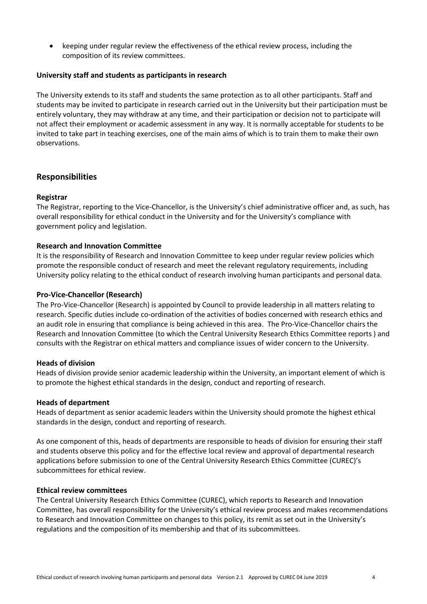keeping under regular review the effectiveness of the ethical review process, including the composition of its review committees.

#### **University staff and students as participants in research**

The University extends to its staff and students the same protection as to all other participants. Staff and students may be invited to participate in research carried out in the University but their participation must be entirely voluntary, they may withdraw at any time, and their participation or decision not to participate will not affect their employment or academic assessment in any way. It is normally acceptable for students to be invited to take part in teaching exercises, one of the main aims of which is to train them to make their own observations.

## **Responsibilities**

#### **Registrar**

The Registrar, reporting to the Vice-Chancellor, is the University's chief administrative officer and, as such, has overall responsibility for ethical conduct in the University and for the University's compliance with government policy and legislation.

#### **Research and Innovation Committee**

It is the responsibility of Research and Innovation Committee to keep under regular review policies which promote the responsible conduct of research and meet the relevant regulatory requirements, including University policy relating to the ethical conduct of research involving human participants and personal data.

#### **Pro-Vice-Chancellor (Research)**

The Pro-Vice-Chancellor (Research) is appointed by Council to provide leadership in all matters relating to research. Specific duties include co-ordination of the activities of bodies concerned with research ethics and an audit role in ensuring that compliance is being achieved in this area. The Pro-Vice-Chancellor chairs the Research and Innovation Committee (to which the Central University Research Ethics Committee reports ) and consults with the Registrar on ethical matters and compliance issues of wider concern to the University.

#### **Heads of division**

Heads of division provide senior academic leadership within the University, an important element of which is to promote the highest ethical standards in the design, conduct and reporting of research.

#### **Heads of department**

Heads of department as senior academic leaders within the University should promote the highest ethical standards in the design, conduct and reporting of research.

As one component of this, heads of departments are responsible to heads of division for ensuring their staff and students observe this policy and for the effective local review and approval of departmental research applications before submission to one of the Central University Research Ethics Committee (CUREC)'s subcommittees for ethical review.

#### **Ethical review committees**

The Central University Research Ethics Committee (CUREC), which reports to Research and Innovation Committee, has overall responsibility for the University's ethical review process and makes recommendations to Research and Innovation Committee on changes to this policy, its remit as set out in the University's regulations and the composition of its membership and that of its subcommittees.